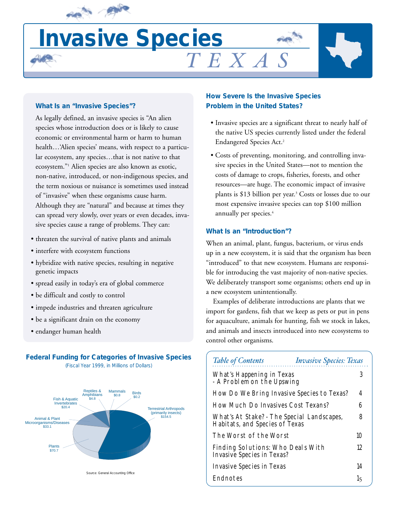

# **Invasive Species**  $T$ EXA

#### **What Is an "Invasive Species"?**

As legally defined, an invasive species is "An alien species whose introduction does or is likely to cause economic or environmental harm or harm to human health…'Alien species' means, with respect to a particular ecosystem, any species…that is not native to that ecosystem."1 Alien species are also known as exotic, non-native, introduced, or non-indigenous species, and the term noxious or nuisance is sometimes used instead of "invasive" when these organisms cause harm. Although they are "natural" and because at times they can spread very slowly, over years or even decades, invasive species cause a range of problems. They can:

- threaten the survival of native plants and animals
- interfere with ecosystem functions
- hybridize with native species, resulting in negative genetic impacts
- spread easily in today's era of global commerce
- be difficult and costly to control
- impede industries and threaten agriculture
- be a significant drain on the economy
- endanger human health

#### **Federal Funding for Categories of Invasive Species**  (Fiscal Year 1999, in Millions of Dollars)



**How Severe Is the Invasive Species Problem in the United States?**

- Invasive species are a significant threat to nearly half of the native US species currently listed under the federal Endangered Species Act.2
- Costs of preventing, monitoring, and controlling invasive species in the United States—not to mention the costs of damage to crops, fisheries, forests, and other resources—are huge. The economic impact of invasive plants is \$13 billion per year.3 Costs or losses due to our most expensive invasive species can top \$100 million annually per species.<sup>4</sup>

#### **What Is an "Introduction"?**

When an animal, plant, fungus, bacterium, or virus ends up in a new ecosystem, it is said that the organism has been "introduced" to that new ecosystem. Humans are responsible for introducing the vast majority of non-native species. We deliberately transport some organisms; others end up in a new ecosystem unintentionally.

Examples of deliberate introductions are plants that we import for gardens, fish that we keep as pets or put in pens for aquaculture, animals for hunting, fish we stock in lakes, and animals and insects introduced into new ecosystems to control other organisms.

| <b>Table of Contents</b>                                                     | <b>Invasive Species: Texas</b> |  |
|------------------------------------------------------------------------------|--------------------------------|--|
| What's Happening in Texas<br>- A Problem on the Upswing                      |                                |  |
| How Do We Bring Invasive Species to Texas?                                   | 4                              |  |
| How Much Do Invasives Cost Texans?                                           | 6                              |  |
| What's At Stake? - The Special Landscapes,<br>Habitats, and Species of Texas |                                |  |
| The Worst of the Worst                                                       | 10                             |  |
| Finding Solutions: Who Deals With<br><b>Invasive Species in Texas?</b>       | 12                             |  |
| <b>Invasive Species in Texas</b>                                             | 14                             |  |
| Endnotes                                                                     | 1 <sub>5</sub>                 |  |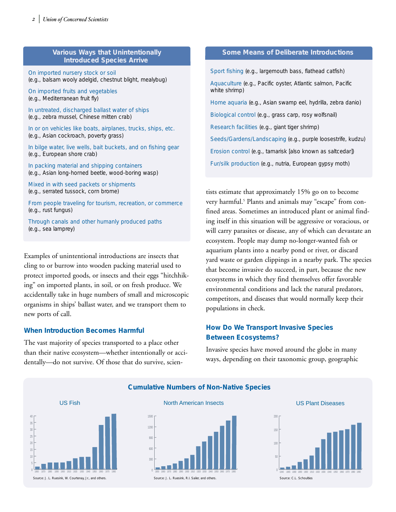#### **Various Ways that Unintentionally Introduced Species Arrive**

On imported nursery stock or soil (e.g., balsam wooly adelgid, chestnut blight, mealybug)

On imported fruits and vegetables (e.g., Mediterranean fruit fly)

In untreated, discharged ballast water of ships (e.g., zebra mussel, Chinese mitten crab)

In or on vehicles like boats, airplanes, trucks, ships, etc. (e.g., Asian cockroach, poverty grass)

In bilge water, live wells, bait buckets, and on fishing gear (e.g., European shore crab)

In packing material and shipping containers (e.g., Asian long-horned beetle, wood-boring wasp)

Mixed in with seed packets or shipments (e.g., serrated tussock, corn brome)

From people traveling for tourism, recreation, or commerce (e.g., rust fungus)

Through canals and other humanly produced paths (e.g., sea lamprey)

Examples of unintentional introductions are insects that cling to or burrow into wooden packing material used to protect imported goods, or insects and their eggs "hitchhiking" on imported plants, in soil, or on fresh produce. We accidentally take in huge numbers of small and microscopic organisms in ships' ballast water, and we transport them to new ports of call.

#### **When Introduction Becomes Harmful**

The vast majority of species transported to a place other than their native ecosystem—whether intentionally or accidentally—do not survive. Of those that do survive, scien-

#### **Some Means of Deliberate Introductions**

Sport fishing (e.g., largemouth bass, flathead catfish) Aquaculture (e.g., Pacific oyster, Atlantic salmon, Pacific white shrimp) Home aquaria (e.g., Asian swamp eel, hydrilla, zebra danio) Biological control (e.g., grass carp, rosy wolfsnail) Research facilities (e.g., giant tiger shrimp) Seeds/Gardens/Landscaping (e.g., purple loosestrife, kudzu) Erosion control (e.g., tamarisk [also known as saltcedar]) Fur/silk production (e.g., nutria, European gypsy moth)

tists estimate that approximately 15% go on to become very harmful.<sup>5</sup> Plants and animals may "escape" from confined areas. Sometimes an introduced plant or animal finding itself in this situation will be aggressive or voracious, or will carry parasites or disease, any of which can devastate an ecosystem. People may dump no-longer-wanted fish or aquarium plants into a nearby pond or river, or discard yard waste or garden clippings in a nearby park. The species that become invasive do succeed, in part, because the new ecosystems in which they find themselves offer favorable environmental conditions and lack the natural predators, competitors, and diseases that would normally keep their populations in check.

#### **How Do We Transport Invasive Species Between Ecosystems?**

Invasive species have moved around the globe in many ways, depending on their taxonomic group, geographic



**Cumulative Numbers of Non-Native Species**



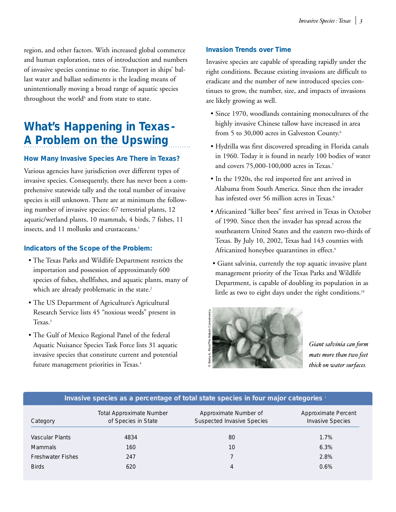region, and other factors. With increased global commerce and human exploration, rates of introduction and numbers of invasive species continue to rise. Transport in ships' ballast water and ballast sediments is the leading means of unintentionally moving a broad range of aquatic species throughout the world $6$  and from state to state.

## **What's Happening in Texas-A Problem on the Upswing**

#### **How Many Invasive Species Are There in Texas?**

Various agencies have jurisdiction over different types of invasive species. Consequently, there has never been a comprehensive statewide tally and the total number of invasive species is still unknown. There are at minimum the following number of invasive species: 67 terrestrial plants, 12 aquatic/wetland plants, 10 mammals, 4 birds, 7 fishes, 11 insects, and 11 mollusks and crustaceans.<sup>1</sup>

#### **Indicators of the Scope of the Problem:**

- The Texas Parks and Wildlife Department restricts the importation and possession of approximately 600 species of fishes, shellfishes, and aquatic plants, many of which are already problematic in the state.<sup>2</sup>
- The US Department of Agriculture's Agricultural Research Service lists 45 "noxious weeds" present in Texas.<sup>3</sup>
- The Gulf of Mexico Regional Panel of the federal Aquatic Nuisance Species Task Force lists 31 aquatic invasive species that constitute current and potential future management priorities in Texas.<sup>4</sup>

#### **Invasion Trends over Time**

Invasive species are capable of spreading rapidly under the right conditions. Because existing invasions are difficult to eradicate and the number of new introduced species continues to grow, the number, size, and impacts of invasions are likely growing as well.

- Since 1970, woodlands containing monocultures of the highly invasive Chinese tallow have increased in area from 5 to 30,000 acres in Galveston County.<sup>6</sup>
- Hydrilla was first discovered spreading in Florida canals in 1960. Today it is found in nearly 100 bodies of water and covers 75,000-100,000 acres in Texas.7
- In the 1920s, the red imported fire ant arrived in Alabama from South America. Since then the invader has infested over 56 million acres in Texas.<sup>8</sup>
- Africanized "killer bees" first arrived in Texas in October of 1990. Since then the invader has spread across the southeastern United States and the eastern two-thirds of Texas. By July 10, 2002, Texas had 143 counties with Africanized honeybee quarantines in effect.<sup>9</sup>
- Giant salvinia, currently the top aquatic invasive plant management priority of the Texas Parks and Wildlife Department, is capable of doubling its population in as little as two to eight days under the right conditions.<sup>10</sup>



*Giant salvinia can form mats more than two feet thick on water surfaces.*

| Trivasive species as a percentage of total state species in four major categories |                                                        |                                                            |                                                |  |  |  |
|-----------------------------------------------------------------------------------|--------------------------------------------------------|------------------------------------------------------------|------------------------------------------------|--|--|--|
| Category                                                                          | <b>Total Approximate Number</b><br>of Species in State | Approximate Number of<br><b>Suspected Invasive Species</b> | Approximate Percent<br><b>Invasive Species</b> |  |  |  |
| Vascular Plants                                                                   | 4834                                                   | 80                                                         | 1.7%                                           |  |  |  |
| <b>Mammals</b>                                                                    | 160                                                    | 10                                                         | 6.3%                                           |  |  |  |
| <b>Freshwater Fishes</b>                                                          | 247                                                    |                                                            | 2.8%                                           |  |  |  |
| <b>Birds</b>                                                                      | 620                                                    | 4                                                          | 0.6%                                           |  |  |  |

#### **Invasive species as a percentage of total state species in four major categories** <sup>5</sup>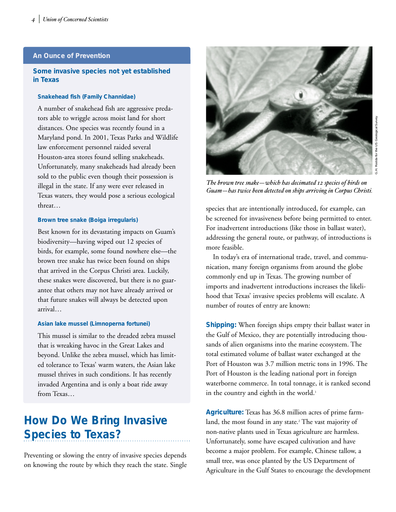#### **An Ounce of Prevention**

#### **Some invasive species not yet established in Texas**

#### **Snakehead fish (Family Channidae)**

A number of snakehead fish are aggressive predators able to wriggle across moist land for short distances. One species was recently found in a Maryland pond. In 2001, Texas Parks and Wildlife law enforcement personnel raided several Houston-area stores found selling snakeheads. Unfortunately, many snakeheads had already been sold to the public even though their possession is illegal in the state. If any were ever released in Texas waters, they would pose a serious ecological threat…

#### **Brown tree snake (Boiga irregularis)**

Best known for its devastating impacts on Guam's biodiversity—having wiped out 12 species of birds, for example, some found nowhere else—the brown tree snake has twice been found on ships that arrived in the Corpus Christi area. Luckily, these snakes were discovered, but there is no guarantee that others may not have already arrived or that future snakes will always be detected upon arrival…

#### **Asian lake mussel (Limnoperna fortunei)**

This mussel is similar to the dreaded zebra mussel that is wreaking havoc in the Great Lakes and beyond. Unlike the zebra mussel, which has limited tolerance to Texas' warm waters, the Asian lake mussel thrives in such conditions. It has recently invaded Argentina and is only a boat ride away from Texas…

## **How Do We Bring Invasive Species to Texas?**

Preventing or slowing the entry of invasive species depends on knowing the route by which they reach the state. Single



*The brown tree snake—which has decimated 12 species of birds on Guam—has twice been detected on ships arriving in Corpus Christi.*

species that are intentionally introduced, for example, can be screened for invasiveness before being permitted to enter. For inadvertent introductions (like those in ballast water), addressing the general route, or pathway, of introductions is more feasible.

In today's era of international trade, travel, and communication, many foreign organisms from around the globe commonly end up in Texas. The growing number of imports and inadvertent introductions increases the likelihood that Texas' invasive species problems will escalate. A number of routes of entry are known:

**Shipping:** When foreign ships empty their ballast water in the Gulf of Mexico, they are potentially introducing thousands of alien organisms into the marine ecosystem. The total estimated volume of ballast water exchanged at the Port of Houston was 3.7 million metric tons in 1996. The Port of Houston is the leading national port in foreign waterborne commerce. In total tonnage, it is ranked second in the country and eighth in the world.<sup>1</sup>

**Agriculture:** Texas has 36.8 million acres of prime farmland, the most found in any state.<sup>2</sup> The vast majority of non-native plants used in Texas agriculture are harmless. Unfortunately, some have escaped cultivation and have become a major problem. For example, Chinese tallow, a small tree, was once planted by the US Department of Agriculture in the Gulf States to encourage the development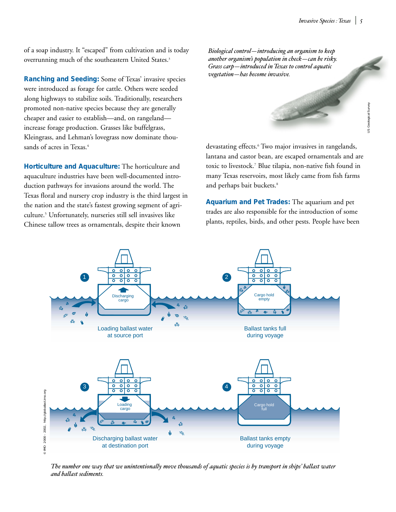of a soap industry. It "escaped" from cultivation and is today overrunning much of the southeastern United States.<sup>3</sup>

**Ranching and Seeding:** Some of Texas' invasive species were introduced as forage for cattle. Others were seeded along highways to stabilize soils. Traditionally, researchers promoted non-native species because they are generally cheaper and easier to establish—and, on rangeland increase forage production. Grasses like buffelgrass, Kleingrass, and Lehman's lovegrass now dominate thousands of acres in Texas.<sup>4</sup>

**Horticulture and Aquaculture:** The horticulture and aquaculture industries have been well-documented introduction pathways for invasions around the world. The Texas floral and nursery crop industry is the third largest in the nation and the state's fastest growing segment of agriculture.5 Unfortunately, nurseries still sell invasives like Chinese tallow trees as ornamentals, despite their known

*Biological control—introducing an organism to keep another organism's population in check—can be risky. Grass carp—introduced in Texas to control aquatic vegetation—has become invasive.*

devastating effects.<sup>6</sup> Two major invasives in rangelands, lantana and castor bean, are escaped ornamentals and are toxic to livestock.7 Blue tilapia, non-native fish found in many Texas reservoirs, most likely came from fish farms and perhaps bait buckets.<sup>8</sup>

**Aquarium and Pet Trades:** The aquarium and pet trades are also responsible for the introduction of some plants, reptiles, birds, and other pests. People have been



*The number one way that we unintentionally move thousands of aquatic species is by transport in ships' ballast water and ballast sediments.*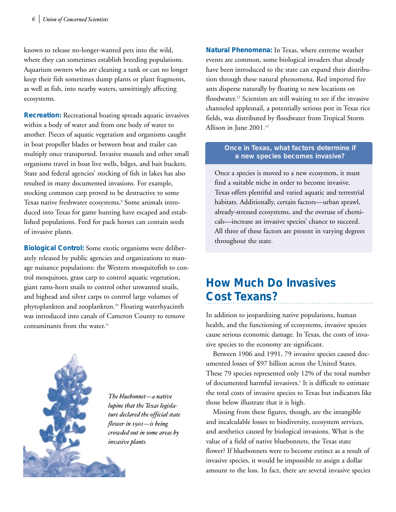known to release no-longer-wanted pets into the wild, where they can sometimes establish breeding populations. Aquarium owners who are cleaning a tank or can no longer keep their fish sometimes dump plants or plant fragments, as well as fish, into nearby waters, unwittingly affecting ecosystems.

**Recreation:** Recreational boating spreads aquatic invasives within a body of water and from one body of water to another. Pieces of aquatic vegetation and organisms caught in boat propeller blades or between boat and trailer can multiply once transported. Invasive mussels and other small organisms travel in boat live wells, bilges, and bait buckets. State and federal agencies' stocking of fish in lakes has also resulted in many documented invasions. For example, stocking common carp proved to be destructive to some Texas native freshwater ecosystems.<sup>9</sup> Some animals introduced into Texas for game hunting have escaped and established populations. Feed for pack horses can contain seeds of invasive plants.

**Biological Control:** Some exotic organisms were deliberately released by public agencies and organizations to manage nuisance populations: the Western mosquitofish to control mosquitoes, grass carp to control aquatic vegetation, giant rams-horn snails to control other unwanted snails, and bighead and silver carps to control large volumes of phytoplankton and zooplankton.10 Floating waterhyacinth was introduced into canals of Cameron County to remove contaminants from the water.<sup>11</sup>



*The bluebonnet—a native lupine that the Texas legislature declared the official state flower in 1901—is being crowded out in some areas by invasive plants.*

**Natural Phenomena:** In Texas, where extreme weather events are common, some biological invaders that already have been introduced to the state can expand their distribution through these natural phenomena. Red imported fire ants disperse naturally by floating to new locations on floodwater.<sup>12</sup> Scientists are still waiting to see if the invasive channeled applesnail, a potentially serious pest in Texas rice fields, was distributed by floodwater from Tropical Storm Allison in June 2001.<sup>13</sup>

#### **Once in Texas, what factors determine if a new species becomes invasive?**

Once a species is moved to a new ecosystem, it must find a suitable niche in order to become invasive. Texas offers plentiful and varied aquatic and terrestrial habitats. Additionally, certain factors—urban sprawl, already-stressed ecosystems, and the overuse of chemicals—increase an invasive species' chance to succeed. All three of these factors are present in varying degrees throughout the state.

## **How Much Do Invasives Cost Texans?**

In addition to jeopardizing native populations, human health, and the functioning of ecosystems, invasive species cause serious economic damage. In Texas, the costs of invasive species to the economy are significant.

Between 1906 and 1991, 79 invasive species caused documented losses of \$97 billion across the United States. These 79 species represented only 12% of the total number of documented harmful invasives.<sup>1</sup> It is difficult to estimate the total costs of invasive species to Texas but indicators like those below illustrate that it is high.

Missing from these figures, though, are the intangible and incalculable losses to biodiversity, ecosystem services, and aesthetics caused by biological invasions. What is the value of a field of native bluebonnets, the Texas state flower? If bluebonnets were to become extinct as a result of invasive species, it would be impossible to assign a dollar amount to the loss. In fact, there are several invasive species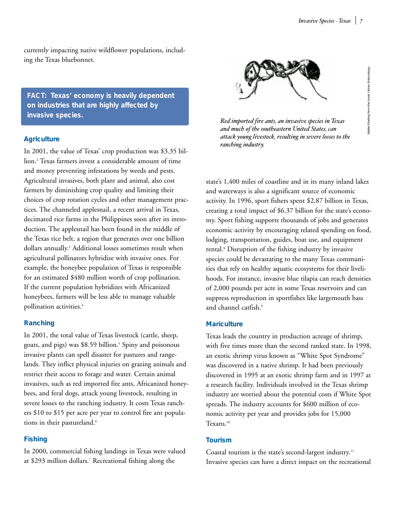currently impacting native wildflower populations, including the Texas bluebonnet.

**FACT: Texas' economy is heavily dependent on industries that are highly affected by invasive species.** *Physicial invasive species in Texas <b><i>Red imported fire ants, an invasive species in Texas Red imported fire ants, an invasive species in Texas* 

#### **Agriculture**

In 2001, the value of Texas' crop production was \$3.35 billion.2 Texas farmers invest a considerable amount of time and money preventing infestations by weeds and pests. Agricultural invasives, both plant and animal, also cost farmers by diminishing crop quality and limiting their choices of crop rotation cycles and other management practices. The channeled applesnail, a recent arrival in Texas, decimated rice farms in the Philippines soon after its introduction. The applesnail has been found in the middle of the Texas rice belt, a region that generates over one billion dollars annually.<sup>3</sup> Additional losses sometimes result when agricultural pollinators hybridize with invasive ones. For example, the honeybee population of Texas is responsible for an estimated \$480 million worth of crop pollination. If the current population hybridizes with Africanized honeybees, farmers will be less able to manage valuable pollination activities.4

#### **Ranching**

In 2001, the total value of Texas livestock (cattle, sheep, goats, and pigs) was \$8.59 billion.<sup>5</sup> Spiny and poisonous invasive plants can spell disaster for pastures and rangelands. They inflict physical injuries on grazing animals and restrict their access to forage and water. Certain animal invasives, such as red imported fire ants, Africanized honeybees, and feral dogs, attack young livestock, resulting in severe losses to the ranching industry. It costs Texas ranchers \$10 to \$15 per acre per year to control fire ant populations in their pastureland.<sup>6</sup>

#### **Fishing**

In 2000, commercial fishing landings in Texas were valued at \$293 million dollars.7 Recreational fishing along the



*and much of the southeastern United States, can attack young livestock, resulting in severe losses to the ranching industry.*

state's 1,400 miles of coastline and in its many inland lakes and waterways is also a significant source of economic activity. In 1996, sport fishers spent \$2.87 billion in Texas, creating a total impact of \$6.37 billion for the state's economy. Sport fishing supports thousands of jobs and generates economic activity by encouraging related spending on food, lodging, transportation, guides, boat use, and equipment rental.8 Disruption of the fishing industry by invasive species could be devastating to the many Texas communities that rely on healthy aquatic ecosystems for their livelihoods. For instance, invasive blue tilapia can reach densities of 2,000 pounds per acre in some Texas reservoirs and can suppress reproduction in sportfishes like largemouth bass and channel catfish.9

#### **Mariculture**

Texas leads the country in production acreage of shrimp, with five times more than the second ranked state. In 1998, an exotic shrimp virus known as "White Spot Syndrome" was discovered in a native shrimp. It had been previously discovered in 1995 at an exotic shrimp farm and in 1997 at a research facility. Individuals involved in the Texas shrimp industry are worried about the potential costs if White Spot spreads. The industry accounts for \$600 million of economic activity per year and provides jobs for 15,000 Texans.<sup>10</sup>

#### **Tourism**

Coastal tourism is the state's second-largest industry.11 Invasive species can have a direct impact on the recreational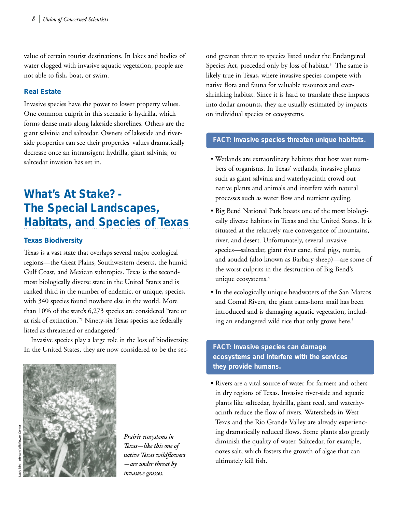value of certain tourist destinations. In lakes and bodies of water clogged with invasive aquatic vegetation, people are not able to fish, boat, or swim.

#### **Real Estate**

Invasive species have the power to lower property values. One common culprit in this scenario is hydrilla, which forms dense mats along lakeside shorelines. Others are the giant salvinia and saltcedar. Owners of lakeside and riverside properties can see their properties' values dramatically decrease once an intransigent hydrilla, giant salvinia, or saltcedar invasion has set in.

## **What's At Stake? - The Special Landscapes, Habitats, and Species of Texas**

#### **Texas Biodiversity**

Texas is a vast state that overlaps several major ecological regions—the Great Plains, Southwestern deserts, the humid Gulf Coast, and Mexican subtropics. Texas is the secondmost biologically diverse state in the United States and is ranked third in the number of endemic, or unique, species, with 340 species found nowhere else in the world. More than 10% of the state's 6,273 species are considered "rare or at risk of extinction."1 Ninety-six Texas species are federally listed as threatened or endangered.<sup>2</sup>

Invasive species play a large role in the loss of biodiversity. In the United States, they are now considered to be the sec-



*Prairie ecosystems in Texas—like this one of native Texas wildflowers —are under threat by invasive grasses.*

ond greatest threat to species listed under the Endangered Species Act, preceded only by loss of habitat.<sup>3</sup> The same is likely true in Texas, where invasive species compete with native flora and fauna for valuable resources and evershrinking habitat. Since it is hard to translate these impacts into dollar amounts, they are usually estimated by impacts on individual species or ecosystems.

#### **FACT: Invasive species threaten unique habitats.**

- Wetlands are extraordinary habitats that host vast numbers of organisms. In Texas' wetlands, invasive plants such as giant salvinia and waterhyacinth crowd out native plants and animals and interfere with natural processes such as water flow and nutrient cycling.
- Big Bend National Park boasts one of the most biologically diverse habitats in Texas and the United States. It is situated at the relatively rare convergence of mountains, river, and desert. Unfortunately, several invasive species—saltcedar, giant river cane, feral pigs, nutria, and aoudad (also known as Barbary sheep)—are some of the worst culprits in the destruction of Big Bend's unique ecosystems.<sup>4</sup>
- In the ecologically unique headwaters of the San Marcos and Comal Rivers, the giant rams-horn snail has been introduced and is damaging aquatic vegetation, including an endangered wild rice that only grows here.<sup>5</sup>

### **FACT: Invasive species can damage ecosystems and interfere with the services they provide humans.**

• Rivers are a vital source of water for farmers and others in dry regions of Texas. Invasive river-side and aquatic plants like saltcedar, hydrilla, giant reed, and waterhyacinth reduce the flow of rivers. Watersheds in West Texas and the Rio Grande Valley are already experiencing dramatically reduced flows. Some plants also greatly diminish the quality of water. Saltcedar, for example, oozes salt, which fosters the growth of algae that can ultimately kill fish.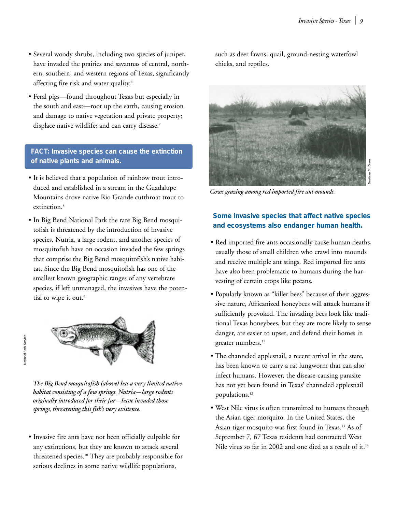- Several woody shrubs, including two species of juniper, have invaded the prairies and savannas of central, northern, southern, and western regions of Texas, significantly affecting fire risk and water quality.<sup>6</sup>
- Feral pigs—found throughout Texas but especially in the south and east—root up the earth, causing erosion and damage to native vegetation and private property; displace native wildlife; and can carry disease.<sup>7</sup>

**FACT: Invasive species can cause the extinction of native plants and animals.**

- It is believed that a population of rainbow trout introduced and established in a stream in the Guadalupe Mountains drove native Rio Grande cutthroat trout to extinction.<sup>8</sup>
- In Big Bend National Park the rare Big Bend mosquitofish is threatened by the introduction of invasive species. Nutria, a large rodent, and another species of mosquitofish have on occasion invaded the few springs that comprise the Big Bend mosquitofish's native habitat. Since the Big Bend mosquitofish has one of the smallest known geographic ranges of any vertebrate species, if left unmanaged, the invasives have the potential to wipe it out.<sup>9</sup>



*The Big Bend mosquitofish (above) has a very limited native habitat consisting of a few springs. Nutria—large rodents originally introduced for their fur—have invaded those springs, threatening this fish's very existence.*

• Invasive fire ants have not been officially culpable for any extinctions, but they are known to attack several threatened species.10 They are probably responsible for serious declines in some native wildlife populations,

such as deer fawns, quail, ground-nesting waterfowl chicks, and reptiles.



Bastiaan M. Drees

*Cows grazing among red imported fire ant mounds.*

#### **Some invasive species that affect native species and ecosystems also endanger human health.**

- Red imported fire ants occasionally cause human deaths, usually those of small children who crawl into mounds and receive multiple ant stings. Red imported fire ants have also been problematic to humans during the harvesting of certain crops like pecans.
- Popularly known as "killer bees" because of their aggressive nature, Africanized honeybees will attack humans if sufficiently provoked. The invading bees look like traditional Texas honeybees, but they are more likely to sense danger, are easier to upset, and defend their homes in greater numbers.<sup>11</sup>
- The channeled applesnail, a recent arrival in the state, has been known to carry a rat lungworm that can also infect humans. However, the disease-causing parasite has not yet been found in Texas' channeled applesnail populations.<sup>12</sup>
- West Nile virus is often transmitted to humans through the Asian tiger mosquito. In the United States, the Asian tiger mosquito was first found in Texas.13 As of September 7, 67 Texas residents had contracted West Nile virus so far in 2002 and one died as a result of it.<sup>14</sup>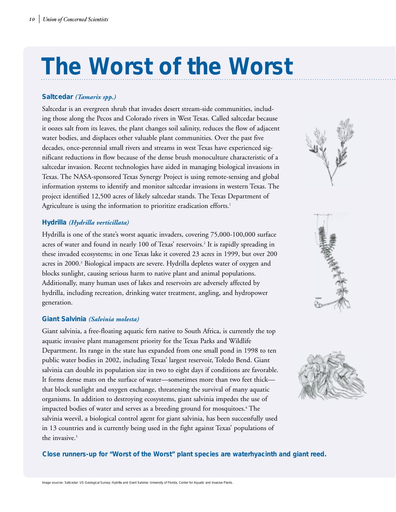# **The Worst of the Worst**

#### **Saltcedar** *(Tamarix spp.)*

Saltcedar is an evergreen shrub that invades desert stream-side communities, including those along the Pecos and Colorado rivers in West Texas. Called saltcedar because it oozes salt from its leaves, the plant changes soil salinity, reduces the flow of adjacent water bodies, and displaces other valuable plant communities. Over the past five decades, once-perennial small rivers and streams in west Texas have experienced significant reductions in flow because of the dense brush monoculture characteristic of a saltcedar invasion. Recent technologies have aided in managing biological invasions in Texas. The NASA-sponsored Texas Synergy Project is using remote-sensing and global information systems to identify and monitor saltcedar invasions in western Texas. The project identified 12,500 acres of likely saltcedar stands. The Texas Department of Agriculture is using the information to prioritize eradication efforts.<sup>1</sup>

#### **Hydrilla** *(Hydrilla verticillata)*

Hydrilla is one of the state's worst aquatic invaders, covering 75,000-100,000 surface acres of water and found in nearly 100 of Texas' reservoirs.<sup>2</sup> It is rapidly spreading in these invaded ecosystems; in one Texas lake it covered 23 acres in 1999, but over 200 acres in 2000.<sup>3</sup> Biological impacts are severe. Hydrilla depletes water of oxygen and blocks sunlight, causing serious harm to native plant and animal populations. Additionally, many human uses of lakes and reservoirs are adversely affected by hydrilla, including recreation, drinking water treatment, angling, and hydropower generation.

#### **Giant Salvinia** *(Salvinia molesta)*

Giant salvinia, a free-floating aquatic fern native to South Africa, is currently the top aquatic invasive plant management priority for the Texas Parks and Wildlife Department. Its range in the state has expanded from one small pond in 1998 to ten public water bodies in 2002, including Texas' largest reservoir, Toledo Bend. Giant salvinia can double its population size in two to eight days if conditions are favorable. It forms dense mats on the surface of water—sometimes more than two feet thick that block sunlight and oxygen exchange, threatening the survival of many aquatic organisms. In addition to destroying ecosystems, giant salvinia impedes the use of impacted bodies of water and serves as a breeding ground for mosquitoes.<sup>4</sup> The salvinia weevil, a biological control agent for giant salvinia, has been successfully used in 13 countries and is currently being used in the fight against Texas' populations of the invasive.<sup>5</sup>







**Close runners-up for "Worst of the Worst" plant species are waterhyacinth and giant reed.**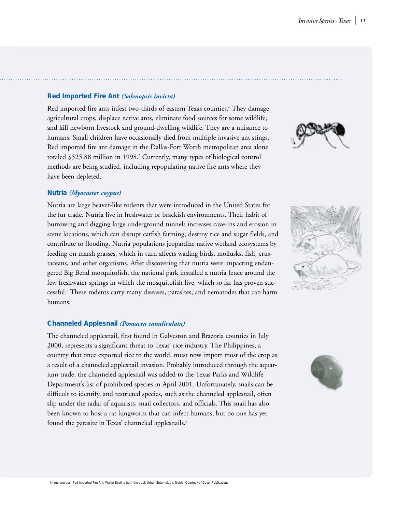#### **Red Imported Fire Ant** *(Solenopsis invicta)*

Red imported fire ants infest two-thirds of eastern Texas counties.<sup>6</sup> They damage agricultural crops, displace native ants, eliminate food sources for some wildlife, and kill newborn livestock and ground-dwelling wildlife. They are a nuisance to humans. Small children have occasionally died from multiple invasive ant stings. Red imported fire ant damage in the Dallas-Fort Worth metropolitan area alone totaled \$525.88 million in 1998.7 Currently, many types of biological control methods are being studied, including repopulating native fire ants where they have been depleted.

#### **Nutria** *(Myocaster coypus)*

Nutria are large beaver-like rodents that were introduced in the United States for the fur trade. Nutria live in freshwater or brackish environments. Their habit of burrowing and digging large underground tunnels increases cave-ins and erosion in some locations, which can disrupt catfish farming, destroy rice and sugar fields, and contribute to flooding. Nutria populations jeopardize native wetland ecosystems by feeding on marsh grasses, which in turn affects wading birds, mollusks, fish, crustaceans, and other organisms. After discovering that nutria were impacting endangered Big Bend mosquitofish, the national park installed a nutria fence around the few freshwater springs in which the mosquitofish live, which so far has proven successful.8 These rodents carry many diseases, parasites, and nematodes that can harm humans.

#### **Channeled Applesnail** *(Pomacea canaliculata)*

The channeled applesnail, first found in Galveston and Brazoria counties in July 2000, represents a significant threat to Texas' rice industry. The Philippines, a country that once exported rice to the world, must now import most of the crop as a result of a channeled applesnail invasion. Probably introduced through the aquarium trade, the channeled applesnail was added to the Texas Parks and Wildlife Department's list of prohibited species in April 2001. Unfortunately, snails can be difficult to identify, and restricted species, such as the channeled applesnail, often slip under the radar of aquarists, snail collectors, and officials. This snail has also been known to host a rat lungworm that can infect humans, but no one has yet found the parasite in Texas' channeled applesnails.<sup>9</sup>





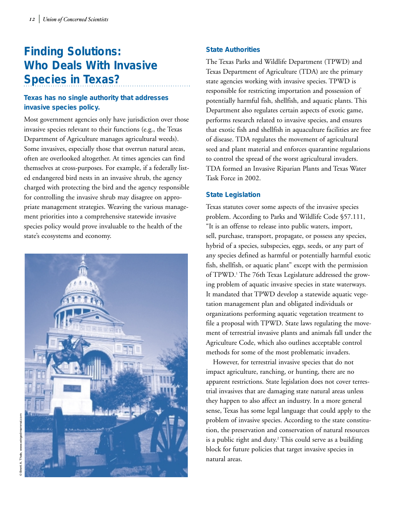# **Finding Solutions: Who Deals With Invasive Species in Texas?**

### **Texas has no single authority that addresses invasive species policy.**

Most government agencies only have jurisdiction over those invasive species relevant to their functions (e.g., the Texas Department of Agriculture manages agricultural weeds). Some invasives, especially those that overrun natural areas, often are overlooked altogether. At times agencies can find themselves at cross-purposes. For example, if a federally listed endangered bird nests in an invasive shrub, the agency charged with protecting the bird and the agency responsible for controlling the invasive shrub may disagree on appropriate management strategies. Weaving the various management priorities into a comprehensive statewide invasive species policy would prove invaluable to the health of the state's ecosystems and economy.



The Texas Parks and Wildlife Department (TPWD) and Texas Department of Agriculture (TDA) are the primary state agencies working with invasive species. TPWD is responsible for restricting importation and possession of potentially harmful fish, shellfish, and aquatic plants. This Department also regulates certain aspects of exotic game, performs research related to invasive species, and ensures that exotic fish and shellfish in aquaculture facilities are free of disease. TDA regulates the movement of agricultural seed and plant material and enforces quarantine regulations to control the spread of the worst agricultural invaders. TDA formed an Invasive Riparian Plants and Texas Water Task Force in 2002.

#### **State Legislation**

Texas statutes cover some aspects of the invasive species problem. According to Parks and Wildlife Code §57.111, "It is an offense to release into public waters, import, sell, purchase, transport, propagate, or possess any species, hybrid of a species, subspecies, eggs, seeds, or any part of any species defined as harmful or potentially harmful exotic fish, shellfish, or aquatic plant" except with the permission of TPWD.<sup>1</sup> The 76th Texas Legislature addressed the growing problem of aquatic invasive species in state waterways. It mandated that TPWD develop a statewide aquatic vegetation management plan and obligated individuals or organizations performing aquatic vegetation treatment to file a proposal with TPWD. State laws regulating the movement of terrestrial invasive plants and animals fall under the Agriculture Code, which also outlines acceptable control methods for some of the most problematic invaders.

However, for terrestrial invasive species that do not impact agriculture, ranching, or hunting, there are no apparent restrictions. State legislation does not cover terrestrial invasives that are damaging state natural areas unless they happen to also affect an industry. In a more general sense, Texas has some legal language that could apply to the problem of invasive species. According to the state constitution, the preservation and conservation of natural resources is a public right and duty.<sup>2</sup> This could serve as a building block for future policies that target invasive species in natural areas.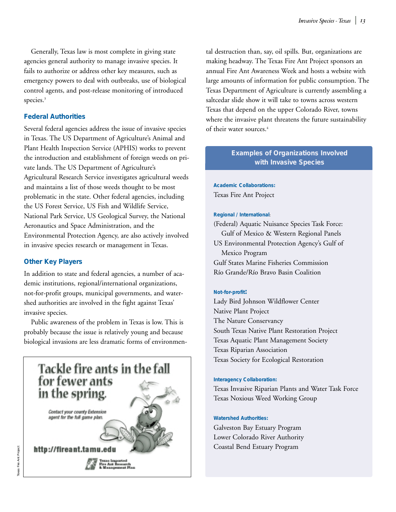Generally, Texas law is most complete in giving state agencies general authority to manage invasive species. It fails to authorize or address other key measures, such as emergency powers to deal with outbreaks, use of biological control agents, and post-release monitoring of introduced species.<sup>3</sup>

#### **Federal Authorities**

Several federal agencies address the issue of invasive species in Texas. The US Department of Agriculture's Animal and Plant Health Inspection Service (APHIS) works to prevent the introduction and establishment of foreign weeds on private lands. The US Department of Agriculture's Agricultural Research Service investigates agricultural weeds and maintains a list of those weeds thought to be most problematic in the state. Other federal agencies, including the US Forest Service, US Fish and Wildlife Service, National Park Service, US Geological Survey, the National Aeronautics and Space Administration, and the Environmental Protection Agency, are also actively involved in invasive species research or management in Texas.

#### **Other Key Players**

In addition to state and federal agencies, a number of academic institutions, regional/international organizations, not-for-profit groups, municipal governments, and watershed authorities are involved in the fight against Texas' invasive species.

Public awareness of the problem in Texas is low. This is probably because the issue is relatively young and because biological invasions are less dramatic forms of environmen-



tal destruction than, say, oil spills. But, organizations are making headway. The Texas Fire Ant Project sponsors an annual Fire Ant Awareness Week and hosts a website with large amounts of information for public consumption. The Texas Department of Agriculture is currently assembling a saltcedar slide show it will take to towns across western Texas that depend on the upper Colorado River, towns where the invasive plant threatens the future sustainability of their water sources.<sup>4</sup>

#### **Examples of Organizations Involved with Invasive Species**

**Academic Collaborations:** Texas Fire Ant Project

#### **Regional / International**:

(Federal) Aquatic Nuisance Species Task Force: Gulf of Mexico & Western Regional Panels US Environmental Protection Agency's Gulf of Mexico Program Gulf States Marine Fisheries Commission Río Grande/Río Bravo Basin Coalition

#### **Not-for-profit:**

Lady Bird Johnson Wildflower Center Native Plant Project The Nature Conservancy South Texas Native Plant Restoration Project Texas Aquatic Plant Management Society Texas Riparian Association Texas Society for Ecological Restoration

#### **Interagency Collaboration:**

Texas Invasive Riparian Plants and Water Task Force Texas Noxious Weed Working Group

#### **Watershed Authorities:**

Galveston Bay Estuary Program Lower Colorado River Authority Coastal Bend Estuary Program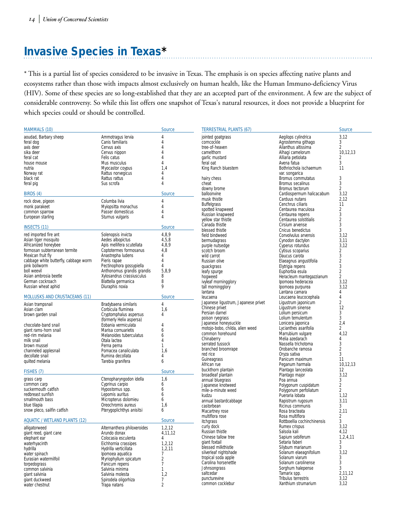# **Invasive Species in Texas\***

\* This is a partial list of species considered to be invasive in Texas. The emphasis is on species affecting native plants and ecosystems rather than those with impacts almost exclusively on human health, like the Human Immuno-deficiency Virus (HIV). Some of these species are so long-established that they are an accepted part of the environment. A few are the subject of considerable controversy. So while this list offers one snapshot of Texas's natural resources, it does not provide a blueprint for which species could or should be controlled.

| <b>MAMMALS (10)</b>                                    |                                                         | <b>Source</b>  | <b>TERRESTRIAL PLANTS (67)</b>            |                                               | <b>Source</b>          |
|--------------------------------------------------------|---------------------------------------------------------|----------------|-------------------------------------------|-----------------------------------------------|------------------------|
| aoudad, Barbary sheep                                  | Ammotragus Iervia                                       | $\Delta$       | jointed goatgrass                         | Aegilops cylindrica                           | 3,12                   |
| feral dog                                              | Canis familiaris                                        | 4              | corncockle                                | Agrostemma githago                            | 3                      |
| axis deer                                              | Cervus axis                                             | $\overline{4}$ | tree-of-heaven                            | Ailanthus altissima                           | 2                      |
| sika deer                                              | Cervus nippon                                           | $\overline{4}$ | camelthorn                                | Alhaqi camelorum                              | 10,12,13               |
| feral cat                                              | Felis catus                                             | $\overline{4}$ | garlic mustard                            | Alliaria petiolata                            | 2                      |
| house mouse                                            | Mus musculus                                            | 4              | feral oat                                 | Avena fatua                                   | 3                      |
| nutria                                                 | Myocastor coypus                                        | 1.4            | King Ranch bluestem                       | Bothriochola ischaemum                        | 11                     |
| Norway rat                                             | Rattus norvegicus                                       | 4              |                                           | var. songarica                                |                        |
| black rat                                              | Rattus rattus                                           | 4              | hairy chess                               | Bromus commutatus                             | 3                      |
| feral pig                                              | Sus scrofa                                              | 4              | cheat                                     | Bromus secalinus                              | 3                      |
|                                                        |                                                         |                | downy brome                               | Bromus tectorum                               | 2                      |
| BIRDS (4)                                              |                                                         | <b>Source</b>  | balloonvine                               | Cardiospermum halicacabum                     | 3,12                   |
| rock dove, pigeon                                      | Columba livia                                           | 4              | musk thistle                              | Carduus nutans                                | 2,12                   |
| monk parakeet                                          | Myiopsitta monachus                                     | 4              | <b>Buffelgrass</b>                        | Cenchrus ciliaris                             | 11                     |
| common sparrow                                         | Passer domesticus                                       | 4              | spotted knapweed                          | Centaurea maculosa                            | $\overline{2}$         |
| European starling                                      | Sturnus vulgaris                                        | $\Delta$       | Russian knapweed                          | Centaurea repens                              | 3                      |
|                                                        |                                                         |                | yellow star thistle                       | Centaurea solstitialis                        | $\overline{2}$         |
| <b>INSECTS (11)</b>                                    |                                                         | <b>Source</b>  | Canada thistle                            | Cirsium arvense                               | 3                      |
|                                                        |                                                         |                | blessed thistle                           | Cnicus benedictus                             | 3                      |
| red imported fire ant                                  | Solenopsis invicta                                      | 4,8,9          | field bindweed                            | Convolvulus arvensis                          | 3,12                   |
| Asian tiger mosquito                                   | Aedes albopictus                                        | 4,5,8          | bermudagrass                              | Cynodon dactylon                              | 3,11                   |
| Africanized honeybee                                   | Apis mellifera scutellata                               | 4,8,9          | purple nutsedge                           | Cyperus rotundus                              | 3,12                   |
| formosan subterranean termite                          | Coptotermes formosanus                                  | 4,8            | scotch broom                              | Cytisus scoparius                             | $\overline{2}$         |
| Mexican fruit fly                                      | Anastrepha ludens                                       | 4              | wild carrot                               | Daucus carota                                 | 3                      |
| cabbage white butterfly, cabbage worm<br>pink bollworm | Pieris rapae<br>Pectinophora gossypiella                | 4<br>4         | Russian olive                             | Elaeagnus angustifolia                        | $\overline{c}$<br>3    |
| boll weevil                                            |                                                         | 5,8,9          | quackgrass                                | Elytrigia repens                              |                        |
| Asian ambrosia beetle                                  | Anthonomus grandis grandis<br>Xylosandrus crassiusculus | 8              | leafy spurge                              | Euphorbia esula                               | 2                      |
| German cockroach                                       | Blattella germanica                                     | 8              | hogweed                                   | Heracleum mantegazzianum<br>Ipomoea hederacea | $\overline{2}$<br>3,12 |
| Russian wheat aphid                                    | Diuraphis noxia                                         | 9              | ivyleaf morningglory<br>tall morningglory |                                               | 3.12                   |
|                                                        |                                                         |                | lantana                                   | Ipomoea purpurea<br>Lantana camara            | 4                      |
| <b>MOLLUSKS AND CRUSTACEANS (11)</b>                   |                                                         | <b>Source</b>  | leucaena                                  | Leucaena leucocephala                         | 4                      |
|                                                        |                                                         |                | Japanese ligustrum, Japanese privet       | Ligustrum japonicum                           | 2                      |
| Asian trampsnail                                       | Bradybaena similaris                                    | 4              | Chinese privet                            | Ligustrum sinense                             | 12                     |
| Asian clam                                             | Corbicula fluminea                                      | 1,6            | Persian darnel                            | Lolium persicum                               | 3                      |
| brown garden snail                                     | Cryptomphalus aspersus                                  | 4              | poison ryegrass                           | Lolium temulentum                             | 3                      |
|                                                        | (formerly Helix aspersa)<br>Eobania vermiculata         | 4              | Japanese honeysuckle                      | Lonicera japonica                             | 2,4                    |
| chocolate-band snail<br>giant rams-horn snail          | Marisa cornuarietis                                     | 6              | motojo-bobo, childa, alien weed           | Lycianthes asarifolia                         | $\overline{2}$         |
| red-rim melania                                        | Melanoides tuberculatus                                 | 6              | common horehound                          | Marrubium vulgare                             | 4.12                   |
| milk snail                                             | Otala lactea                                            | $\Delta$       | Chinaberry                                | Melia azedarach                               | 4                      |
| brown mussel                                           | Perna perna                                             | 1              | serrated tussock                          | Nassella trichotoma                           | 3                      |
| channeled applesnail                                   | Pomacea canaliculata                                    | 1,6            | branched broomrape                        | Orobanche ramosa                              | 2                      |
| decollate snail                                        | Rumina decollata                                        | 4              | red rice                                  | Oryza sativa                                  | 3                      |
| quilted melania                                        | Tarebia granifera                                       | 6              | Guineagrass                               | Panicum maximum                               | 11                     |
|                                                        |                                                         |                | African rue                               | Peganum harmala                               | 10,12,13               |
| FISHES (7)                                             |                                                         | <b>Source</b>  | buckthorn plantain                        | Plantago lanceolata                           | 12                     |
|                                                        |                                                         |                | broadleaf plantain                        | Plantago major                                | 3,12                   |
| grass carp                                             | Ctenopharyngodon idella<br>Cyprinus carpio              | 1,6            | annual bluegrass                          | Poa annua                                     | 3                      |
| common carp<br>suckermouth catfish                     | Hypostomus spp.                                         | 6<br>6         | Japanese knotweed                         | Polygonum cuspidatum                          | 2                      |
| redbreast sunfish                                      | Lepomis auritus                                         | 6              | mile-a-minute weed                        | Polygonum perfoliatum                         | 2                      |
| smallmouth bass                                        | Micropterus dolomieu                                    | 6              | kudzu                                     | Pueraria lobata                               | 1,12                   |
| blue tilapia                                           | Oreochromis aureus                                      | 1,6            | annual bastardcabbage<br>castorbean       | Rapistrum rugosum<br>Ricinus communis         | 3,11<br>3              |
| snow pleco, sailfin catfish                            | Pterygoplichthys anisitsi                               | 6              | Macartney rose                            | Rosa bracteata                                | 2.11                   |
|                                                        |                                                         |                | multiflora rose                           | Rosa multiflora                               | 2                      |
| <b>AQUATIC / WETLAND PLANTS (12)</b>                   |                                                         | <b>Source</b>  | itchgrass                                 | Rottboellia cochinchinensis                   | 3                      |
| alligatorweed                                          | Alternanthera philoxeroides                             | 1, 2, 12       | curly dock                                | Rumex crispus                                 | 3,12                   |
| giant reed, giant cane                                 | Arundo donax                                            | 4,11,12        | Russian thistle                           | Salsola kali                                  | 4,12                   |
| elephant ear                                           | Colocasia esculenta                                     | 4              | Chinese tallow tree                       | Sapium sebiferum                              | 1,2,4,11               |
| waterhyacinth                                          | Eichhornia crassipes                                    | 1,2,12         | giant foxtail                             | Setaria faberi                                | 3                      |
| hydrilla                                               | Hydrilla verticillata                                   | 1,2,11         | blessed milkthistle                       | Silybum marianum                              | 3                      |
| water spinach                                          | Ipomoea aquatica                                        | 7              | silverleaf nightshade                     | Solanum elaeagnifolium                        | 3,12                   |
| Eurasian watermilfoil                                  | Myriophyllum spicatum                                   | $\overline{2}$ | tropical soda apple                       | Solanum viarum                                | 3                      |
| torpedograss                                           | Panicum repens                                          | $\overline{7}$ | Carolina horsenettle                      | Solanum carolinense                           | 3                      |
| common salvinia                                        | Salvinia minima                                         | 1              | Johnsongrass                              | Sorghum halepense                             | 3                      |
| giant salvinia                                         | Salvinia molesta                                        | 1,2            | saltcedar                                 | Tamarix spp.                                  | 2,11,12                |
| giant duckweed                                         | Spirodela oligorhiza                                    | 7              | puncturevine                              | Tribulus terrestris                           | 3,12                   |
| water chestnut                                         | Trapa natans                                            | $\overline{2}$ | common cocklebur                          | Xanthium strumarium                           | 3,12                   |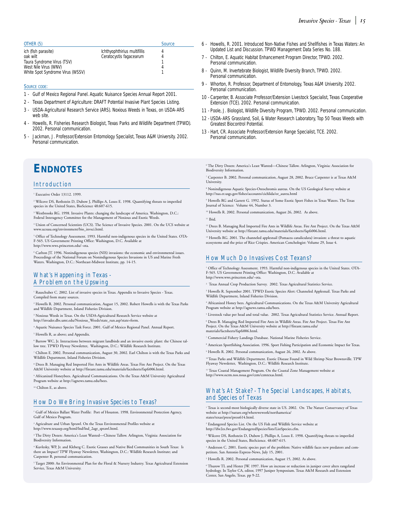#### SOURCE CODE:

- 1 Gulf of Mexico Regional Panel. Aquatic Nuisance Species Annual Report 2001.
- 2 Texas Department of Agriculture: DRAFT Potential Invasive Plant Species Listing.
- 3 USDA-Agricultural Research Service (ARS). Noxious Weeds in Texas, on USDA-ARS web site.
- 4 Howells, R. Fisheries Research Biologist, Texas Parks and Wildlife Department (TPWD). 2002. Personal communication.
- 5 Jackman, J. Professor/Extension Entomology Specialist, Texas A&M University. 2002. Personal communication.

## **ENDNOTES**

#### Introduction

Executive Order 13112, 1999.

<sup>2</sup> Wilcove DS, Rothstein D, Dubow J, Phillips A, Losos E. 1998. Quantifying threats to imperiled species in the United States, BioScience 48:607-615.

<sup>3</sup> Westbrooks RG. 1998. Invasive Plants: changing the landscape of America. Washington, D.C.:<br>Federal Interagency Committee for the Management of Noxious and Exotic Weeds. Federal Interagency Committee for the Management of Noxio

<sup>4</sup> Union of Concerned Scientists (UCS). The Science of Invasive Species. 2001. On the UCS website at www.ucsusa.org/environment/bio\_invsci.html.

<sup>5</sup> Office of Technology Assessment. 1993. Harmful non-indigenous species in the United States. OTA-F-565. US Government Printing Office: Washington, D.C. Available at http://www.wws.princeton.edu/~ota.

Carlton JT. 1996. Nonindigenous species (NIS) invasions: the economic and environmental issues. Proceedings of the National Forum on Nonindigenous Species Invasions in US and Marine Fresh Waters. Washington, D.C.: Northeast-Midwest Institute, pp. 14-15.

#### What's Happening in Texas - A Problem on the Upswing

<sup>1</sup> Rauschuber C. 2002. List of invasive species in Texas. Appendix to Invasive Species - Texas. Compiled from many sources.

<sup>2</sup> Howells R. 2002. Personal communication, August 15, 2002. Robert Howells is with the Texas Parks and Wildlife Department, Inland Fisheries Division

<sup>3</sup> Noxious Weeds in Texas. On the USDA-Agricultural Research Service website at http://invader.dbs.umt.edu/Noxious\_Weeds/state\_run.asp?state=form.

<sup>4</sup> Aquatic Nuisance Species Task Force. 2001. Gulf of Mexico Regional Panel. Annual Report.

<sup>5</sup> Howells R, as above; and Appendix.

Barrow WC, Jr. Interactions between migrant landbirds and an invasive exotic plant: the Chinese tallow tree. TPWD Flyway Newsletter, Washington, D.C.: Wildlife Research Institute

<sup>7</sup> Chilton E. 2002. Personal communication, August 30, 2002. Earl Chilton is with the Texas Parks and Wildlife Department, Inland Fisheries Division.

<sup>8</sup> Drees B. Managing Red Imported Fire Ants in Wildlife Areas. Texas Fire Ant Project. On the Texas A&M University website at http://fireant.tamu.edu/materials/factsheets/fapfs006.html.

<sup>9</sup> Africanized Honeybees. Agricultural Communications. On the Texas A&M University Agricultural Program website at http://agnews.tamu.edu/bees.

<sup>10</sup> Chilton E, as above.

#### How Do We Bring Invasive Species to Texas?

<sup>1</sup> Gulf of Mexico Ballast Water Profile: Port of Houston. 1998. Environmental Protection Agency, Gulf of Mexico Program.

<sup>2</sup> Agriculture and Urban Sprawl. On the Texas Environmental Profiles website at http://www.texasep.org/html/lnd/lnd\_2agr\_sprawl.html.

<sup>3</sup> The Dirty Dozen: America's Least Wanted—Chinese Tallow. Arlington, Virginia: Association for Biodiversity Information.

<sup>4</sup> Kuvlesky, WP, Jr. and Kleberg C. Exotic Grasses and Native Bird Communities in South Texas: Is there an Impact? TPW Flyaway Newsletter, Washington, D.C.: Wildlife Research Institute; and Carpenter B, personal communication.

<sup>5</sup> Target 2000: An Environmental Plan for the Floral & Nursery Industry. Texas Agricultural Extension Service, Texas A&M University.

- *Invasive Species Texas 15*
- 6 Howells, R. 2001. Introduced Non-Native Fishes and Shellfishes in Texas Waters: An Updated List and Discussion. TPWD Management Data Series No. 188.
- 7 Chilton, E. Aquatic Habitat Enhancement Program Director, TPWD. 2002. Personal communication.
- 8 Quinn, M. Invertebrate Biologist, Wildlife Diversity Branch, TPWD. 2002. Personal communication.
- 9 Whorton, R. Professor, Department of Entomology, Texas A&M University. 2002. Personal communication.
- 10 Carpenter, B. Associate Professor/Extension Livestock Specialist, Texas Cooperative Extension (TCE). 2002. Personal communication.
- 11 Poole, J. Biologist, Wildlife Diversity Program, TPWD. 2002. Personal communication.
- 12 USDA-ARS Grassland, Soil, & Water Research Laboratory, Top 50 Texas Weeds with Greatest Biocontrol Potential.
- 13 Hart, CR. Associate Professor/Extension Range Specialist, TCE. 2002. Personal communication.

<sup>6</sup> The Dirty Dozen: America's Least Wanted—Chinese Tallow. Arlington, Virginia: Association for Biodiversity Information.

- <sup>7</sup> Carpenter B. 2002. Personal communication, August 28, 2002. Bruce Carpenter is at Texas A&M University.
- <sup>8</sup> Nonindigenous Aquatic Species-Oreochromis aureus. On the US Geological Survey website at http://nas.er.usgs.gov/fishes/accounts/cichlida/or\_aureu.html

<sup>9</sup> Howells RG and Garrett G. 1992. Status of Some Exotic Sport Fishes in Texas Waters. The Texas Journal of Science: Volume 44, Number 3.

<sup>10</sup> Howells R. 2002. Personal communication, August 26, 2002. As above.

<sup>11</sup> Ibid.

<sup>12</sup> Drees B. Managing Red Imported Fire Ants in Wildlife Areas. Fire Ant Project. On the Texas A&M University website at http://fireant.tamu.edu/materials/factsheets/fapfs006.html.

<sup>13</sup> Howells RG. 2001. The channeled applesnail (Pomacea canaliculata) invasion: a threat to aquatic ecosystems and the price of Rice Crispies. American Conchologist: Volume 29, Issue 4.

#### How Much Do Invasives Cost Texans?

<sup>1</sup> Office of Technology Assessment. 1993. Harmful non-indigenous species in the United States. OTA-F-565. US Government Printing Office: Washington, D.C. Available at http://www.wws.princeton.edu/~ota.

<sup>2</sup> Texas Annual Crop Production Survey. 2002. Texas Agricultural Statistics Service.

<sup>3</sup> Howells R. September 2001. TPWD Exotic Species Alert: Channeled Applesnail. Texas Parks and Wildlife Department, Inland Fisheries Division

<sup>4</sup> Africanized Honey bees. Agricultural Communications. On the Texas A&M University Agricultural Program website at http://agnews.tamu.edu/bees.

<sup>5</sup> Livestock value per head and total value. 2002. Texas Agricultural Statistics Service. Annual Report.

<sup>6</sup> Drees B. Managing Red Imported Fire Ants in Wildlife Areas. Fire Ant Project. Texas Fire Ant Project. On the Texas A&M University website at http://fireant.tamu.edu/ materials/factsheets/fapfs006.html.

- <sup>7</sup> Commercial Fishery Landings Database. National Marine Fisheries Service.
- <sup>8</sup> American Sportfishing Association. 1996. Sport Fishing Participation and Economic Impact for Texas. <sup>9</sup> Howells R. 2002. Personal communication, August 26, 2002. As above.

10 Texas Parks and Wildlife Department. Exotic Disease Found in Wild Shrimp Near Brownsville. TPW Flyaway Newsletter, Washington, D.C.: Wildlife Research Institute.

<sup>11</sup> Texas Coastal Management Program. On the Coastal Zone Management website at http://www.ocrm.nos.noaa.gov/czm/czmtexas.html.

#### What's At Stake? - The Special Landscapes, Habitats, and Species of Texas

<sup>1</sup> Texas is second-most biologically diverse state in US. 2002. On The Nature Conservancy of Texas website at http://nature.org/wherewework/northamerica/ states/texas/press/press614.html.

<sup>2</sup> Endangered Species List. On the US Fish and Wildlife Service website at http://ifw2es.fws.gov/EndangeredSpecies/lists/ListSpecies.cfm.

<sup>3</sup> Wilcove DS, Rothstein D, Dubow J, Phillips A, Losos E. 1998. Quantifying threats to imperiled species in the United States, BioScience. 48:607-615.

<sup>4</sup> Anderson C. 2001. Exotic species part of the problem: Native wildlife faces new predators and com-petitors. San Antonio Express-News, July 15, 2001.

<sup>5</sup> Howells R. 2002. Personal communication, August 15, 2002. As above.

<sup>6</sup> Thurow TL and Hester JW. 1997. How an increase or reduction in juniper cover alters rangeland hydrology. In Taylor CA, editor, 1997 Juniper Symposium. Texas A&M Research and Extension Center, San Angelo, Texas. pp 9-22.